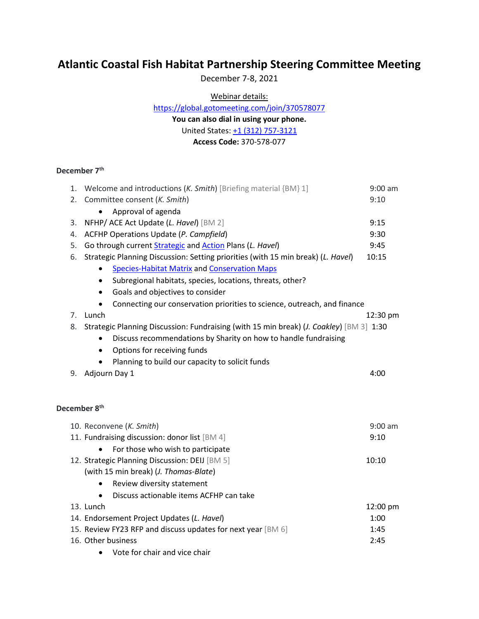## **Atlantic Coastal Fish Habitat Partnership Steering Committee Meeting**

December 7-8, 2021

Webinar details:

<https://global.gotomeeting.com/join/370578077>

**You can also dial in using your phone.**

United States: [+1 \(312\) 757-3121](tel:+13127573121,,370578077)

**Access Code:** 370-578-077

## **December 7th**

| 1. | Welcome and introductions ( <i>K. Smith</i> ) [Briefing material {BM} 1]                         | $9:00$ am |
|----|--------------------------------------------------------------------------------------------------|-----------|
| 2. | Committee consent (K. Smith)                                                                     | 9:10      |
|    | Approval of agenda                                                                               |           |
| 3. | NFHP/ ACE Act Update (L. Havel) [BM 2]                                                           | 9:15      |
| 4. | ACFHP Operations Update (P. Campfield)                                                           | 9:30      |
| 5. | Go through current <b>Strategic</b> and <b>Action</b> Plans (L. Havel)                           | 9:45      |
| 6. | Strategic Planning Discussion: Setting priorities (with 15 min break) (L. Havel)                 | 10:15     |
|    | <b>Species-Habitat Matrix and Conservation Maps</b>                                              |           |
|    | Subregional habitats, species, locations, threats, other?<br>$\bullet$                           |           |
|    | Goals and objectives to consider<br>$\bullet$                                                    |           |
|    | Connecting our conservation priorities to science, outreach, and finance                         |           |
| 7. | Lunch                                                                                            | 12:30 pm  |
| 8. | Strategic Planning Discussion: Fundraising (with 15 min break) ( <i>J. Coakley</i> ) [BM 3] 1:30 |           |
|    | Discuss recommendations by Sharity on how to handle fundraising                                  |           |
|    | Options for receiving funds<br>$\bullet$                                                         |           |
|    | Planning to build our capacity to solicit funds                                                  |           |
| 9. | Adjourn Day 1                                                                                    | 4:00      |
|    |                                                                                                  |           |
|    |                                                                                                  |           |
|    | December 8 <sup>th</sup>                                                                         |           |
|    | 10. Reconvene (K. Smith)                                                                         | $9:00$ am |
|    | 11. Fundraising discussion: donor list [BM 4]                                                    | 9:10      |
|    | For those who wish to participate                                                                |           |
|    | 12. Strategic Planning Discussion: DEIJ [BM 5]                                                   | 10:10     |
|    | (with 15 min break) (J. Thomas-Blate)                                                            |           |
|    | Review diversity statement                                                                       |           |
|    | Discuss actionable items ACFHP can take<br>$\bullet$                                             |           |
|    | 13. Lunch                                                                                        | 12:00 pm  |
|    | 14. Endorsement Project Updates (L. Havel)                                                       | 1:00      |
|    | 15. Review FY23 RFP and discuss updates for next year [BM 6]                                     | 1:45      |
|    | 16. Other business                                                                               | 2:45      |
|    | Vote for chair and vice chair                                                                    |           |